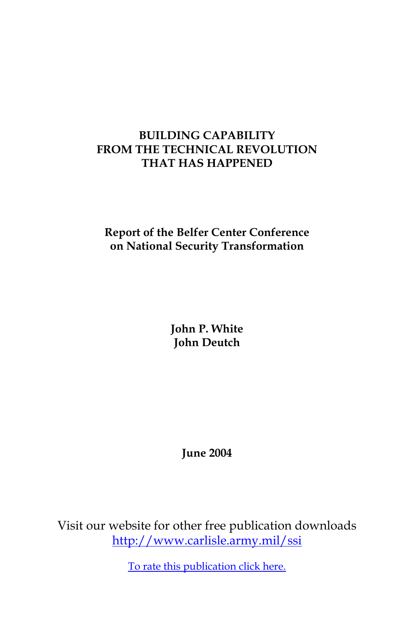## **BUILDING CAPABILITY FROM THE TECHNICAL REVOLUTION THAT HAS HAPPENED**

# **Report of the Belfer Center Conference on National Security Transformation**

**John P. White John Deutch**

**June 2004**

Visit our website for other free publication downloads <http://www.carlisle.army.mil/ssi>

[To rate this publication click here.](http://www.carlisle.army.mil/ssi/pubs/display.cfm/hurl/PubID=407)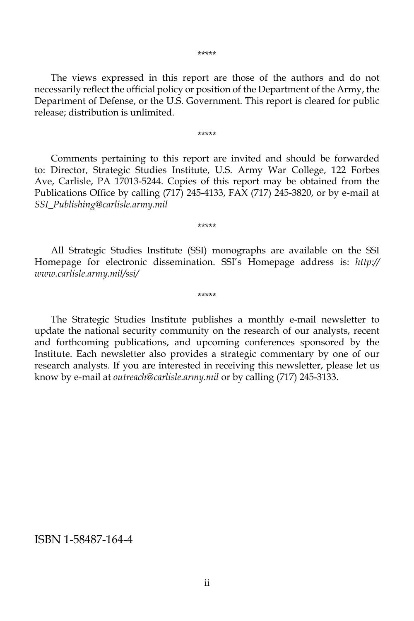The views expressed in this report are those of the authors and do not necessarily reflect the official policy or position of the Department of the Army, the Department of Defense, or the U.S. Government. This report is cleared for public release; distribution is unlimited.

\*\*\*\*\*

 Comments pertaining to this report are invited and should be forwarded to: Director, Strategic Studies Institute, U.S. Army War College, 122 Forbes Ave, Carlisle, PA 17013-5244. Copies of this report may be obtained from the Publications Office by calling (717) 245-4133, FAX (717) 245-3820, or by e-mail at *SSI\_Publishing@carlisle.army.mil*

 All Strategic Studies Institute (SSI) monographs are available on the SSI Homepage for electronic dissemination. SSI's Homepage address is: *http:// www.carlisle.army.mil/ssi/*

\*\*\*\*\*

\*\*\*\*\*

 The Strategic Studies Institute publishes a monthly e-mail newsletter to update the national security community on the research of our analysts, recent and forthcoming publications, and upcoming conferences sponsored by the Institute. Each newsletter also provides a strategic commentary by one of our research analysts. If you are interested in receiving this newsletter, please let us know by e-mail at *outreach@carlisle.army.mil* or by calling (717) 245-3133.

ISBN 1-58487-164-4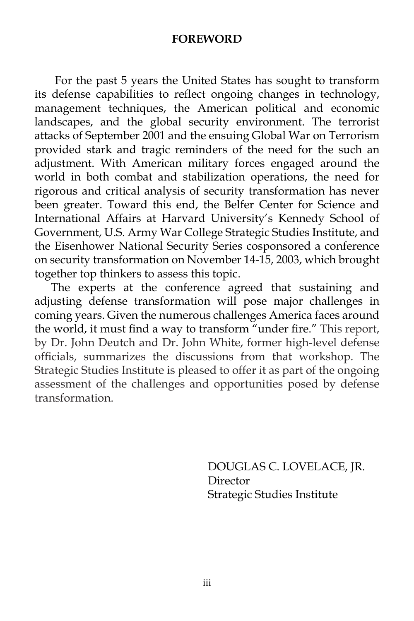#### **FOREWORD**

 For the past 5 years the United States has sought to transform its defense capabilities to reflect ongoing changes in technology, management techniques, the American political and economic landscapes, and the global security environment. The terrorist attacks of September 2001 and the ensuing Global War on Terrorism provided stark and tragic reminders of the need for the such an adjustment. With American military forces engaged around the world in both combat and stabilization operations, the need for rigorous and critical analysis of security transformation has never been greater. Toward this end, the Belfer Center for Science and International Affairs at Harvard University's Kennedy School of Government, U.S. Army War College Strategic Studies Institute, and the Eisenhower National Security Series cosponsored a conference on security transformation on November 14-15, 2003, which brought together top thinkers to assess this topic.

The experts at the conference agreed that sustaining and adjusting defense transformation will pose major challenges in coming years. Given the numerous challenges America faces around the world, it must find a way to transform "under fire." This report, by Dr. John Deutch and Dr. John White, former high-level defense officials, summarizes the discussions from that workshop. The Strategic Studies Institute is pleased to offer it as part of the ongoing assessment of the challenges and opportunities posed by defense transformation.

> DOUGLAS C. LOVELACE, JR. Director Strategic Studies Institute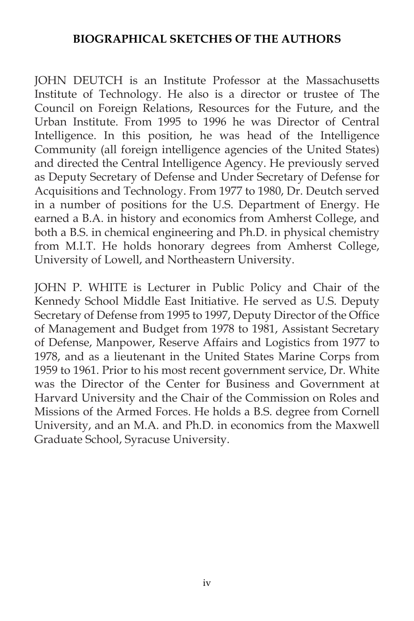### **BIOGRAPHICAL SKETCHES OF THE AUTHORS**

JOHN DEUTCH is an Institute Professor at the Massachusetts Institute of Technology. He also is a director or trustee of The Council on Foreign Relations, Resources for the Future, and the Urban Institute. From 1995 to 1996 he was Director of Central Intelligence. In this position, he was head of the Intelligence Community (all foreign intelligence agencies of the United States) and directed the Central Intelligence Agency. He previously served as Deputy Secretary of Defense and Under Secretary of Defense for Acquisitions and Technology. From 1977 to 1980, Dr. Deutch served in a number of positions for the U.S. Department of Energy. He earned a B.A. in history and economics from Amherst College, and both a B.S. in chemical engineering and Ph.D. in physical chemistry from M.I.T. He holds honorary degrees from Amherst College, University of Lowell, and Northeastern University.

JOHN P. WHITE is Lecturer in Public Policy and Chair of the Kennedy School Middle East Initiative. He served as U.S. Deputy Secretary of Defense from 1995 to 1997, Deputy Director of the Office of Management and Budget from 1978 to 1981, Assistant Secretary of Defense, Manpower, Reserve Affairs and Logistics from 1977 to 1978, and as a lieutenant in the United States Marine Corps from 1959 to 1961. Prior to his most recent government service, Dr. White was the Director of the Center for Business and Government at Harvard University and the Chair of the Commission on Roles and Missions of the Armed Forces. He holds a B.S. degree from Cornell University, and an M.A. and Ph.D. in economics from the Maxwell Graduate School, Syracuse University.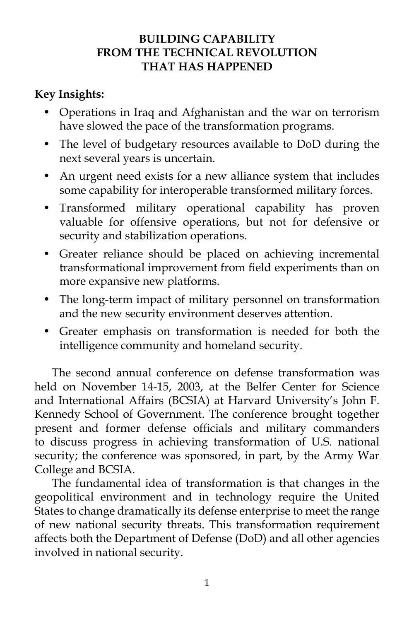## **BUILDING CAPABILITY FROM THE TECHNICAL REVOLUTION THAT HAS HAPPENED**

# **Key Insights:**

- Operations in Iraq and Afghanistan and the war on terrorism have slowed the pace of the transformation programs.
- The level of budgetary resources available to DoD during the next several years is uncertain.
- An urgent need exists for a new alliance system that includes some capability for interoperable transformed military forces.
- Transformed military operational capability has proven valuable for offensive operations, but not for defensive or security and stabilization operations.
- Greater reliance should be placed on achieving incremental transformational improvement from field experiments than on more expansive new platforms.
- The long-term impact of military personnel on transformation and the new security environment deserves attention.
- Greater emphasis on transformation is needed for both the intelligence community and homeland security.

 The second annual conference on defense transformation was held on November 14-15, 2003, at the Belfer Center for Science and International Affairs (BCSIA) at Harvard University's John F. Kennedy School of Government. The conference brought together present and former defense officials and military commanders to discuss progress in achieving transformation of U.S. national security; the conference was sponsored, in part, by the Army War College and BCSIA.

 The fundamental idea of transformation is that changes in the geopolitical environment and in technology require the United States to change dramatically its defense enterprise to meet the range of new national security threats. This transformation requirement affects both the Department of Defense (DoD) and all other agencies involved in national security.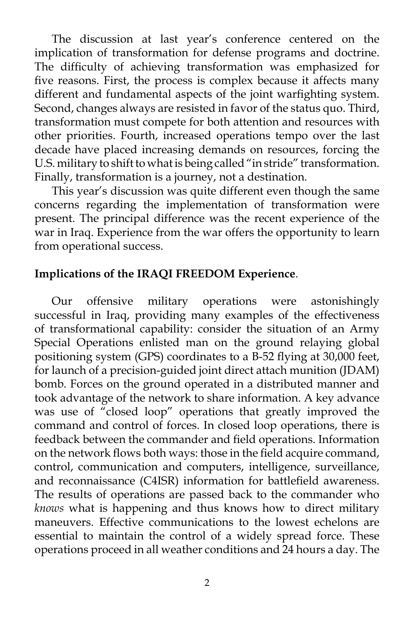The discussion at last year's conference centered on the implication of transformation for defense programs and doctrine. The difficulty of achieving transformation was emphasized for five reasons. First, the process is complex because it affects many different and fundamental aspects of the joint warfighting system. Second, changes always are resisted in favor of the status quo. Third, transformation must compete for both attention and resources with other priorities. Fourth, increased operations tempo over the last decade have placed increasing demands on resources, forcing the U.S. military to shift to what is being called "in stride" transformation. Finally, transformation is a journey, not a destination.

 This year's discussion was quite different even though the same concerns regarding the implementation of transformation were present. The principal difference was the recent experience of the war in Iraq. Experience from the war offers the opportunity to learn from operational success.

## **Implications of the IRAQI FREEDOM Experience**.

 Our offensive military operations were astonishingly successful in Iraq, providing many examples of the effectiveness of transformational capability: consider the situation of an Army Special Operations enlisted man on the ground relaying global positioning system (GPS) coordinates to a B-52 flying at 30,000 feet, for launch of a precision-guided joint direct attach munition (JDAM) bomb. Forces on the ground operated in a distributed manner and took advantage of the network to share information. A key advance was use of "closed loop" operations that greatly improved the command and control of forces. In closed loop operations, there is feedback between the commander and field operations. Information on the network flows both ways: those in the field acquire command, control, communication and computers, intelligence, surveillance, and reconnaissance (C4ISR) information for battlefield awareness. The results of operations are passed back to the commander who *knows* what is happening and thus knows how to direct military maneuvers. Effective communications to the lowest echelons are essential to maintain the control of a widely spread force. These operations proceed in all weather conditions and 24 hours a day. The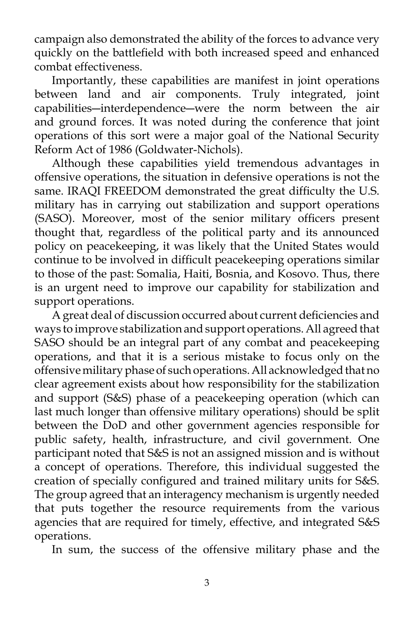campaign also demonstrated the ability of the forces to advance very quickly on the battlefield with both increased speed and enhanced combat effectiveness.

 Importantly, these capabilities are manifest in joint operations between land and air components. Truly integrated, joint capabilities―interdependence―were the norm between the air and ground forces. It was noted during the conference that joint operations of this sort were a major goal of the National Security Reform Act of 1986 (Goldwater-Nichols).

 Although these capabilities yield tremendous advantages in offensive operations, the situation in defensive operations is not the same. IRAQI FREEDOM demonstrated the great difficulty the U.S. military has in carrying out stabilization and support operations (SASO). Moreover, most of the senior military officers present thought that, regardless of the political party and its announced policy on peacekeeping, it was likely that the United States would continue to be involved in difficult peacekeeping operations similar to those of the past: Somalia, Haiti, Bosnia, and Kosovo. Thus, there is an urgent need to improve our capability for stabilization and support operations.

 A great deal of discussion occurred about current deficiencies and ways to improve stabilization and support operations. All agreed that SASO should be an integral part of any combat and peacekeeping operations, and that it is a serious mistake to focus only on the offensive military phase of such operations. All acknowledged that no clear agreement exists about how responsibility for the stabilization and support (S&S) phase of a peacekeeping operation (which can last much longer than offensive military operations) should be split between the DoD and other government agencies responsible for public safety, health, infrastructure, and civil government. One participant noted that S&S is not an assigned mission and is without a concept of operations. Therefore, this individual suggested the creation of specially configured and trained military units for S&S. The group agreed that an interagency mechanism is urgently needed that puts together the resource requirements from the various agencies that are required for timely, effective, and integrated S&S operations.

In sum, the success of the offensive military phase and the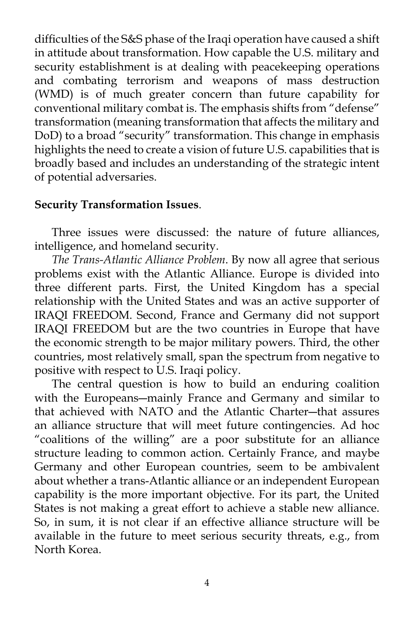difficulties of the S&S phase of the Iraqi operation have caused a shift in attitude about transformation. How capable the U.S. military and security establishment is at dealing with peacekeeping operations and combating terrorism and weapons of mass destruction (WMD) is of much greater concern than future capability for conventional military combat is. The emphasis shifts from "defense" transformation (meaning transformation that affects the military and DoD) to a broad "security" transformation. This change in emphasis highlights the need to create a vision of future U.S. capabilities that is broadly based and includes an understanding of the strategic intent of potential adversaries.

### **Security Transformation Issues**.

 Three issues were discussed: the nature of future alliances, intelligence, and homeland security.

*The Trans-Atlantic Alliance Problem*. By now all agree that serious problems exist with the Atlantic Alliance. Europe is divided into three different parts. First, the United Kingdom has a special relationship with the United States and was an active supporter of IRAQI FREEDOM. Second, France and Germany did not support IRAQI FREEDOM but are the two countries in Europe that have the economic strength to be major military powers. Third, the other countries, most relatively small, span the spectrum from negative to positive with respect to U.S. Iraqi policy.

 The central question is how to build an enduring coalition with the Europeans―mainly France and Germany and similar to that achieved with NATO and the Atlantic Charter―that assures an alliance structure that will meet future contingencies. Ad hoc "coalitions of the willing" are a poor substitute for an alliance structure leading to common action. Certainly France, and maybe Germany and other European countries, seem to be ambivalent about whether a trans-Atlantic alliance or an independent European capability is the more important objective. For its part, the United States is not making a great effort to achieve a stable new alliance. So, in sum, it is not clear if an effective alliance structure will be available in the future to meet serious security threats, e.g., from North Korea.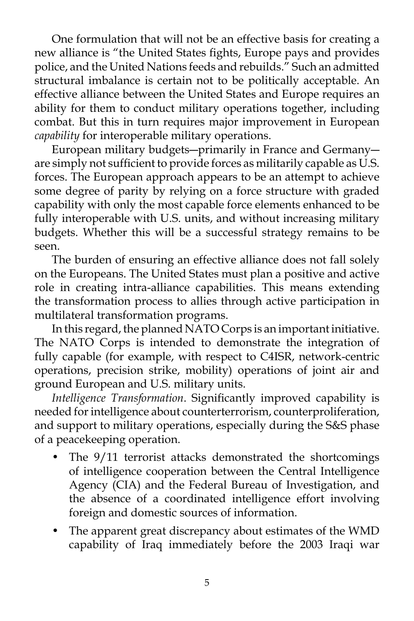One formulation that will not be an effective basis for creating a new alliance is "the United States fights, Europe pays and provides police, and the United Nations feeds and rebuilds." Such an admitted structural imbalance is certain not to be politically acceptable. An effective alliance between the United States and Europe requires an ability for them to conduct military operations together, including combat. But this in turn requires major improvement in European *capability* for interoperable military operations.

 European military budgets―primarily in France and Germany― are simply not sufficient to provide forces as militarily capable as U.S. forces. The European approach appears to be an attempt to achieve some degree of parity by relying on a force structure with graded capability with only the most capable force elements enhanced to be fully interoperable with U.S. units, and without increasing military budgets. Whether this will be a successful strategy remains to be seen.

 The burden of ensuring an effective alliance does not fall solely on the Europeans. The United States must plan a positive and active role in creating intra-alliance capabilities. This means extending the transformation process to allies through active participation in multilateral transformation programs.

 In this regard, the planned NATO Corps is an important initiative. The NATO Corps is intended to demonstrate the integration of fully capable (for example, with respect to C4ISR, network-centric operations, precision strike, mobility) operations of joint air and ground European and U.S. military units.

*Intelligence Transformation*. Significantly improved capability is needed for intelligence about counterterrorism, counterproliferation, and support to military operations, especially during the S&S phase of a peacekeeping operation.

- The 9/11 terrorist attacks demonstrated the shortcomings of intelligence cooperation between the Central Intelligence Agency (CIA) and the Federal Bureau of Investigation, and the absence of a coordinated intelligence effort involving foreign and domestic sources of information.
- The apparent great discrepancy about estimates of the WMD capability of Iraq immediately before the 2003 Iraqi war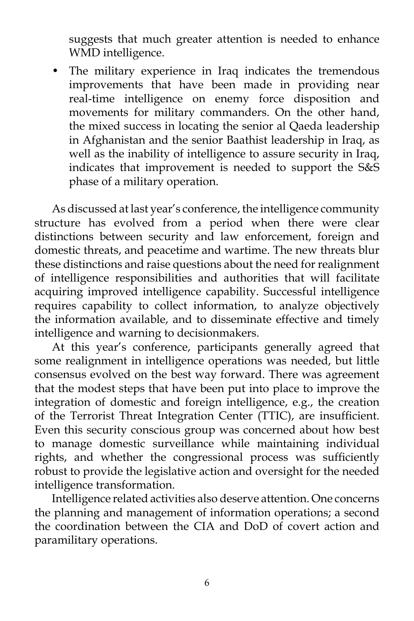suggests that much greater attention is needed to enhance WMD intelligence.

• The military experience in Iraq indicates the tremendous improvements that have been made in providing near real-time intelligence on enemy force disposition and movements for military commanders. On the other hand, the mixed success in locating the senior al Qaeda leadership in Afghanistan and the senior Baathist leadership in Iraq, as well as the inability of intelligence to assure security in Iraq, indicates that improvement is needed to support the S&S phase of a military operation.

 As discussed at last year's conference, the intelligence community structure has evolved from a period when there were clear distinctions between security and law enforcement, foreign and domestic threats, and peacetime and wartime. The new threats blur these distinctions and raise questions about the need for realignment of intelligence responsibilities and authorities that will facilitate acquiring improved intelligence capability. Successful intelligence requires capability to collect information, to analyze objectively the information available, and to disseminate effective and timely intelligence and warning to decisionmakers.

 At this year's conference, participants generally agreed that some realignment in intelligence operations was needed, but little consensus evolved on the best way forward. There was agreement that the modest steps that have been put into place to improve the integration of domestic and foreign intelligence, e.g., the creation of the Terrorist Threat Integration Center (TTIC), are insufficient. Even this security conscious group was concerned about how best to manage domestic surveillance while maintaining individual rights, and whether the congressional process was sufficiently robust to provide the legislative action and oversight for the needed intelligence transformation.

 Intelligence related activities also deserve attention. One concerns the planning and management of information operations; a second the coordination between the CIA and DoD of covert action and paramilitary operations.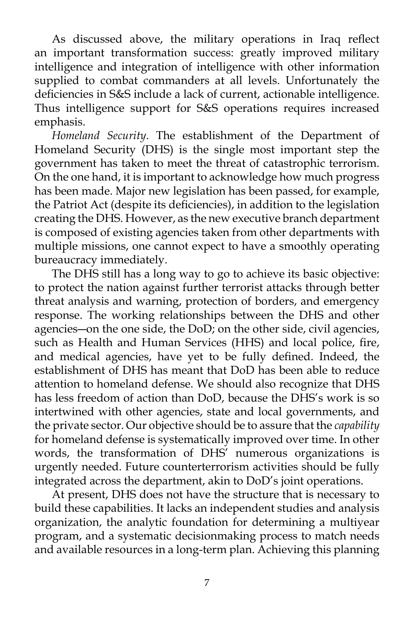As discussed above, the military operations in Iraq reflect an important transformation success: greatly improved military intelligence and integration of intelligence with other information supplied to combat commanders at all levels. Unfortunately the deficiencies in S&S include a lack of current, actionable intelligence. Thus intelligence support for S&S operations requires increased emphasis.

*Homeland Security*. The establishment of the Department of Homeland Security (DHS) is the single most important step the government has taken to meet the threat of catastrophic terrorism. On the one hand, it is important to acknowledge how much progress has been made. Major new legislation has been passed, for example, the Patriot Act (despite its deficiencies), in addition to the legislation creating the DHS. However, as the new executive branch department is composed of existing agencies taken from other departments with multiple missions, one cannot expect to have a smoothly operating bureaucracy immediately.

 The DHS still has a long way to go to achieve its basic objective: to protect the nation against further terrorist attacks through better threat analysis and warning, protection of borders, and emergency response. The working relationships between the DHS and other agencies―on the one side, the DoD; on the other side, civil agencies, such as Health and Human Services (HHS) and local police, fire, and medical agencies, have yet to be fully defined. Indeed, the establishment of DHS has meant that DoD has been able to reduce attention to homeland defense. We should also recognize that DHS has less freedom of action than DoD, because the DHS's work is so intertwined with other agencies, state and local governments, and the private sector. Our objective should be to assure that the *capability* for homeland defense is systematically improved over time. In other words, the transformation of DHS' numerous organizations is urgently needed. Future counterterrorism activities should be fully integrated across the department, akin to DoD's joint operations.

 At present, DHS does not have the structure that is necessary to build these capabilities. It lacks an independent studies and analysis organization, the analytic foundation for determining a multiyear program, and a systematic decisionmaking process to match needs and available resources in a long-term plan. Achieving this planning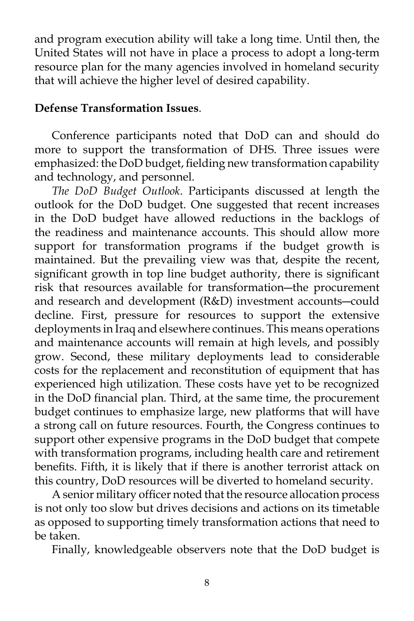and program execution ability will take a long time. Until then, the United States will not have in place a process to adopt a long-term resource plan for the many agencies involved in homeland security that will achieve the higher level of desired capability.

### **Defense Transformation Issues**.

 Conference participants noted that DoD can and should do more to support the transformation of DHS. Three issues were emphasized: the DoD budget, fielding new transformation capability and technology, and personnel.

*The DoD Budget Outlook*. Participants discussed at length the outlook for the DoD budget. One suggested that recent increases in the DoD budget have allowed reductions in the backlogs of the readiness and maintenance accounts. This should allow more support for transformation programs if the budget growth is maintained. But the prevailing view was that, despite the recent, significant growth in top line budget authority, there is significant risk that resources available for transformation―the procurement and research and development (R&D) investment accounts―could decline. First, pressure for resources to support the extensive deployments in Iraq and elsewhere continues. This means operations and maintenance accounts will remain at high levels, and possibly grow. Second, these military deployments lead to considerable costs for the replacement and reconstitution of equipment that has experienced high utilization. These costs have yet to be recognized in the DoD financial plan. Third, at the same time, the procurement budget continues to emphasize large, new platforms that will have a strong call on future resources. Fourth, the Congress continues to support other expensive programs in the DoD budget that compete with transformation programs, including health care and retirement benefits. Fifth, it is likely that if there is another terrorist attack on this country, DoD resources will be diverted to homeland security.

 A senior military officer noted that the resource allocation process is not only too slow but drives decisions and actions on its timetable as opposed to supporting timely transformation actions that need to be taken.

Finally, knowledgeable observers note that the DoD budget is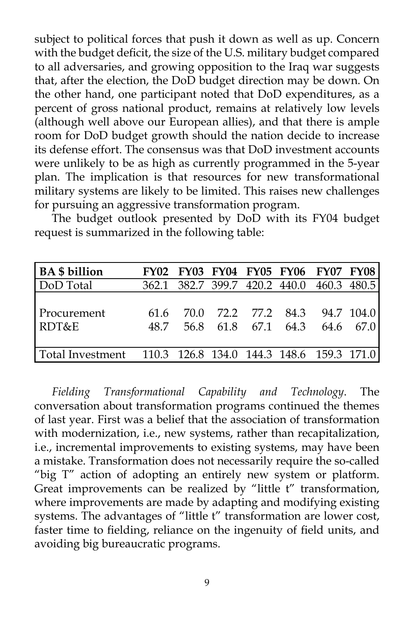subject to political forces that push it down as well as up. Concern with the budget deficit, the size of the U.S. military budget compared to all adversaries, and growing opposition to the Iraq war suggests that, after the election, the DoD budget direction may be down. On the other hand, one participant noted that DoD expenditures, as a percent of gross national product, remains at relatively low levels (although well above our European allies), and that there is ample room for DoD budget growth should the nation decide to increase its defense effort. The consensus was that DoD investment accounts were unlikely to be as high as currently programmed in the 5-year plan. The implication is that resources for new transformational military systems are likely to be limited. This raises new challenges for pursuing an aggressive transformation program.

 The budget outlook presented by DoD with its FY04 budget request is summarized in the following table:

| <b>BA</b> \$ billion |             |      |                     | FY02 FY03 FY04 FY05 FY06 FY07 FY08        |         |
|----------------------|-------------|------|---------------------|-------------------------------------------|---------|
| DoD Total            |             |      |                     | 362.1 382.7 399.7 420.2 440.0 460.3 480.5 |         |
| Procurement<br>RDT&E | 616<br>48.7 | 70 O | 56.8 61.8 67.1 64.3 | 72.2 77.2 84.3 94.7 104.0                 | 646 670 |
|                      |             |      |                     |                                           |         |
|                      |             |      |                     |                                           |         |

*Fielding Transformational Capability and Technology*. The conversation about transformation programs continued the themes of last year. First was a belief that the association of transformation with modernization, i.e., new systems, rather than recapitalization, i.e., incremental improvements to existing systems, may have been a mistake. Transformation does not necessarily require the so-called "big T" action of adopting an entirely new system or platform. Great improvements can be realized by "little t" transformation, where improvements are made by adapting and modifying existing systems. The advantages of "little t" transformation are lower cost, faster time to fielding, reliance on the ingenuity of field units, and avoiding big bureaucratic programs.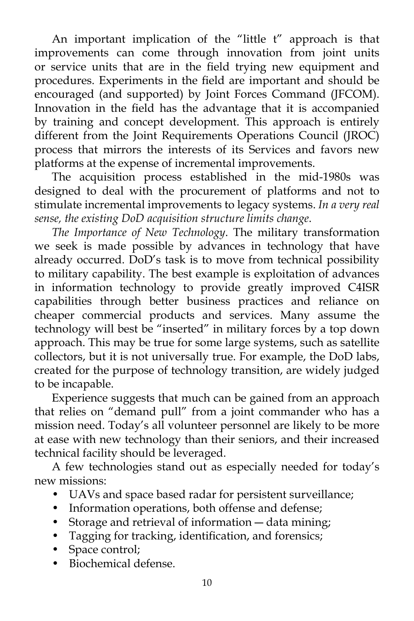An important implication of the "little t" approach is that improvements can come through innovation from joint units or service units that are in the field trying new equipment and procedures. Experiments in the field are important and should be encouraged (and supported) by Joint Forces Command (JFCOM). Innovation in the field has the advantage that it is accompanied by training and concept development. This approach is entirely different from the Joint Requirements Operations Council (JROC) process that mirrors the interests of its Services and favors new platforms at the expense of incremental improvements.

 The acquisition process established in the mid-1980s was designed to deal with the procurement of platforms and not to stimulate incremental improvements to legacy systems. *In a very real sense, the existing DoD acquisition structure limits change*.

*The Importance of New Technology*. The military transformation we seek is made possible by advances in technology that have already occurred. DoD's task is to move from technical possibility to military capability. The best example is exploitation of advances in information technology to provide greatly improved C4ISR capabilities through better business practices and reliance on cheaper commercial products and services. Many assume the technology will best be "inserted" in military forces by a top down approach. This may be true for some large systems, such as satellite collectors, but it is not universally true. For example, the DoD labs, created for the purpose of technology transition, are widely judged to be incapable.

 Experience suggests that much can be gained from an approach that relies on "demand pull" from a joint commander who has a mission need. Today's all volunteer personnel are likely to be more at ease with new technology than their seniors, and their increased technical facility should be leveraged.

 A few technologies stand out as especially needed for today's new missions:

- UAVs and space based radar for persistent surveillance;
- Information operations, both offense and defense;
- Storage and retrieval of information data mining;
- Tagging for tracking, identification, and forensics;
- Space control;
- Biochemical defense.